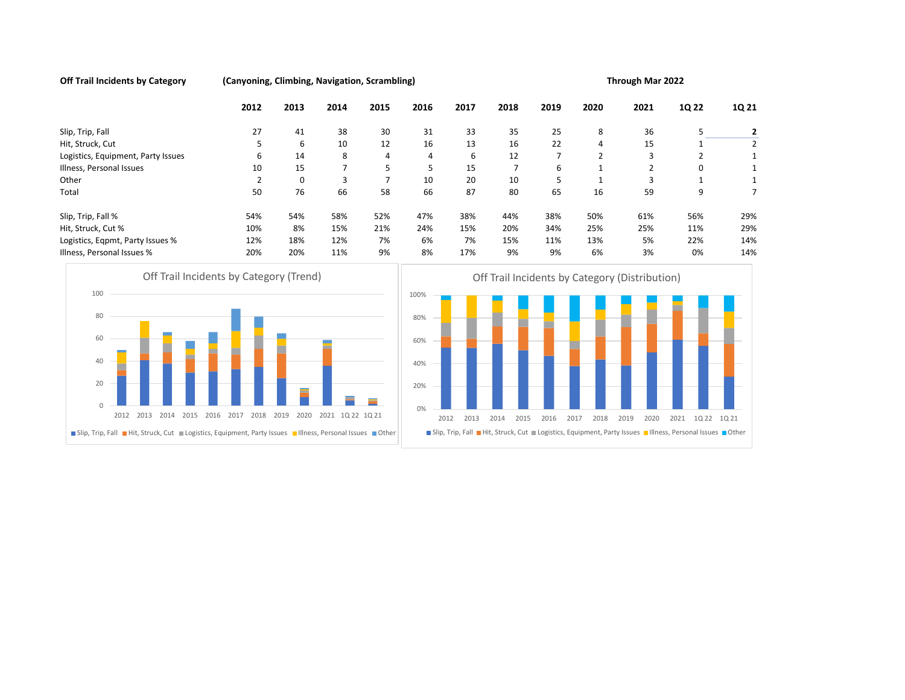Off Trail Incidents by Category (Canyoning, Climbing, Navigation, Scrambling) Through Mar 2022

|                                         | 2012                                                                                                          | 2013 | 2014             | 2015           | 2016                     | 2017         | 2018           | 2019           | 2020           | 2021           | 1Q 22                                                                                                | 1Q 21          |
|-----------------------------------------|---------------------------------------------------------------------------------------------------------------|------|------------------|----------------|--------------------------|--------------|----------------|----------------|----------------|----------------|------------------------------------------------------------------------------------------------------|----------------|
| Slip, Trip, Fall                        | 27                                                                                                            | 41   | 38               | 30             | 31                       | 33           | 35             | 25             | 8              | 36             | 5                                                                                                    | $\overline{2}$ |
| Hit, Struck, Cut                        | 5                                                                                                             | 6    | 10               | 12             | 16                       | 13           | 16             | 22             | 4              | 15             | 1                                                                                                    | $\overline{2}$ |
| Logistics, Equipment, Party Issues      | 6                                                                                                             | 14   | 8                | $\overline{4}$ | $\overline{4}$           | 6            | 12             | $\overline{7}$ | $\overline{2}$ | 3              | 2                                                                                                    | 1              |
| Illness, Personal Issues                | 10                                                                                                            | 15   | $\overline{7}$   | 5              | 5                        | 15           | $\overline{7}$ | 6              | $\mathbf{1}$   | $\overline{2}$ | 0                                                                                                    |                |
| Other                                   | 2                                                                                                             | 0    | 3                | $\overline{7}$ | 10                       | 20           | 10             | 5              | $\mathbf{1}$   | 3              | 1                                                                                                    |                |
| Total                                   | 50                                                                                                            | 76   | 66               | 58             | 66                       | 87           | 80             | 65             | 16             | 59             | 9                                                                                                    | $\overline{7}$ |
| Slip, Trip, Fall %                      | 54%                                                                                                           | 54%  | 58%              | 52%            | 47%                      | 38%          | 44%            | 38%            | 50%            | 61%            | 56%                                                                                                  | 29%            |
| Hit, Struck, Cut %                      | 10%                                                                                                           | 8%   | 15%              | 21%            | 24%                      | 15%          | 20%            | 34%            | 25%            | 25%            | 11%                                                                                                  | 29%            |
| Logistics, Eqpmt, Party Issues %        | 12%                                                                                                           | 18%  | 12%              | 7%             | 6%                       | 7%           | 15%            | 11%            | 13%            | 5%             | 22%                                                                                                  | 14%            |
| Illness, Personal Issues %              | 20%                                                                                                           | 20%  | 11%              | 9%             | 8%                       | 17%          | 9%             | 9%             | 6%             | 3%             | 0%                                                                                                   | 14%            |
| 80<br>60<br>40<br>20                    |                                                                                                               |      |                  |                | 80%<br>60%<br>40%<br>20% |              |                |                |                |                |                                                                                                      |                |
| $\mathbf{0}$                            |                                                                                                               |      |                  |                | 0%                       |              |                |                |                |                |                                                                                                      |                |
| 2012 2013 2014 2015 2016 2017 2018 2019 |                                                                                                               | 2020 | 2021 10 22 10 21 |                |                          | 2012<br>2013 | 2014<br>2015   | 2016           | 2017<br>2018   | 2019<br>2020   | 2021                                                                                                 | 10 22 10 21    |
|                                         | ■ Slip, Trip, Fall ■ Hit, Struck, Cut ■ Logistics, Equipment, Party Issues ■ Illness, Personal Issues ■ Other |      |                  |                |                          |              |                |                |                |                | Slip, Trip, Fall Hit, Struck, Cut Logistics, Equipment, Party Issues IIIness, Personal Issues Dother |                |



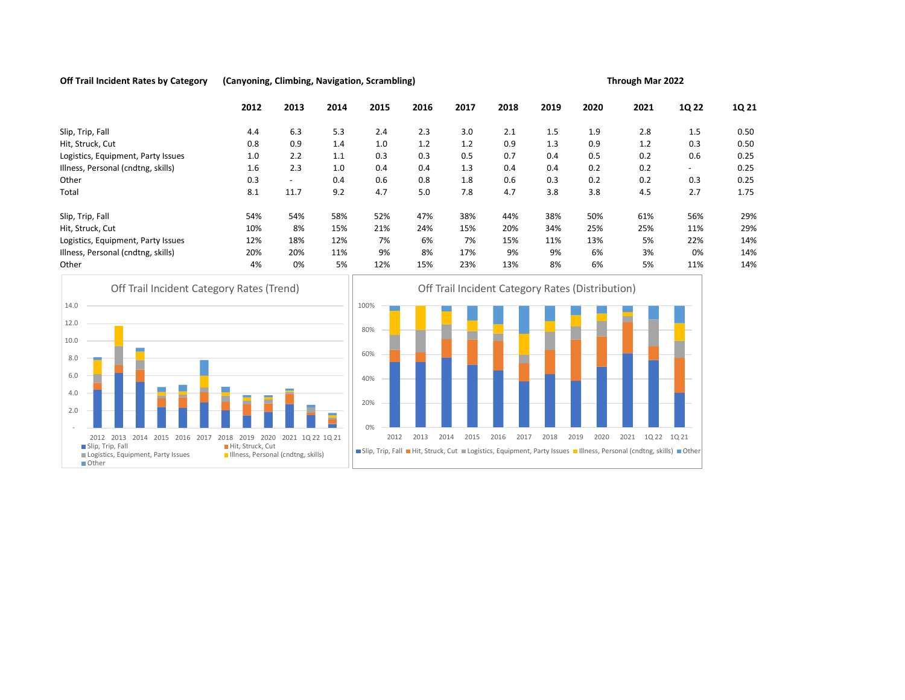## Off Trail Incident Rates by Category (Canyoning, Climbing, Navigation, Scrambling) Through Mar 2022



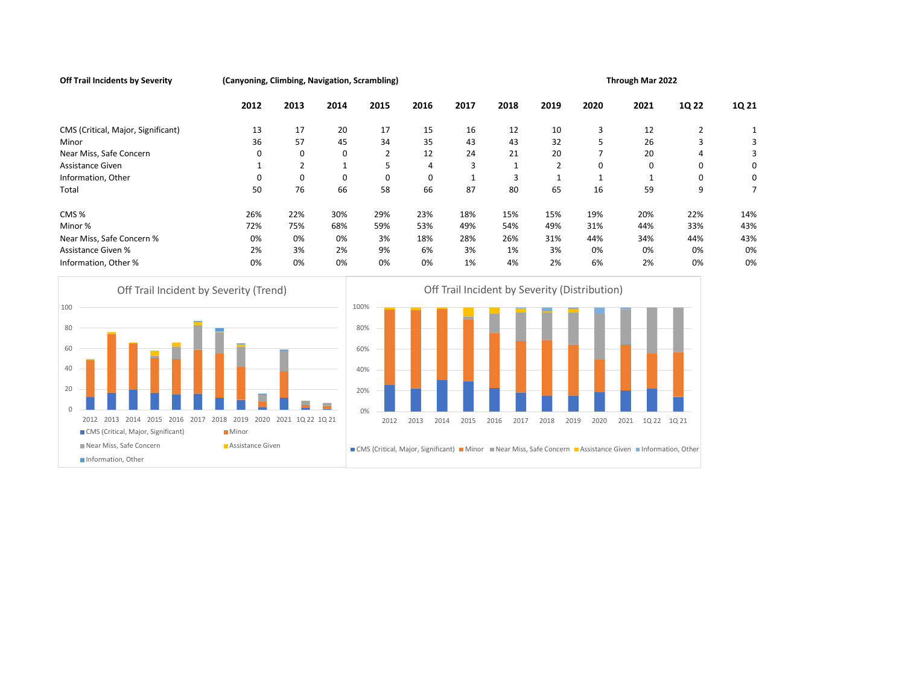Off Trail Incidents by Severity **(Canyoning, Climbing, Navigation, Scrambling)** Through Mar 2022

|                                                                               | 2012             | 2013           | 2014 |      | 2015                                          | 2016 |      | 2017         |      | 2018 | 2019           |      | 2020           |      | 2021        | 1Q 22                                                                                                          |                | 1Q 21          |
|-------------------------------------------------------------------------------|------------------|----------------|------|------|-----------------------------------------------|------|------|--------------|------|------|----------------|------|----------------|------|-------------|----------------------------------------------------------------------------------------------------------------|----------------|----------------|
| CMS (Critical, Major, Significant)                                            | 13               | 17             | 20   |      | 17                                            | 15   |      | 16           |      | 12   | 10             |      | 3              |      | 12          |                                                                                                                | $\overline{2}$ | 1              |
| Minor                                                                         | 36               | 57             | 45   |      | 34                                            | 35   |      | 43           |      | 43   | 32             |      | 5              |      | 26          |                                                                                                                | 3              | 3              |
| Near Miss, Safe Concern                                                       | 0                | $\mathbf 0$    | 0    |      | $\overline{2}$                                | 12   |      | 24           |      | 21   | 20             |      | $\overline{7}$ |      | 20          |                                                                                                                | 4              | 3              |
| Assistance Given                                                              | 1                | $\overline{2}$ | 1    |      | 5                                             |      | 4    | 3            |      | 1    | $\overline{2}$ |      | 0              |      | $\mathbf 0$ |                                                                                                                | 0              | 0              |
| Information, Other                                                            | 0                | 0              |      | 0    | 0                                             |      | 0    | $\mathbf{1}$ |      | 3    | 1              |      | 1              |      | 1           |                                                                                                                | 0              | 0              |
| Total                                                                         | 50               | 76             | 66   |      | 58                                            | 66   |      | 87           |      | 80   | 65             |      | 16             |      | 59          |                                                                                                                | 9              | $\overline{7}$ |
| CMS%                                                                          | 26%              | 22%            | 30%  |      | 29%                                           | 23%  |      | 18%          |      | 15%  | 15%            |      | 19%            |      | 20%         | 22%                                                                                                            |                | 14%            |
| Minor %                                                                       | 72%              | 75%            | 68%  |      | 59%                                           | 53%  |      | 49%          |      | 54%  | 49%            |      | 31%            |      | 44%         | 33%                                                                                                            |                | 43%            |
| Near Miss, Safe Concern %                                                     | 0%               | 0%             | 0%   |      | 3%                                            | 18%  |      | 28%          |      | 26%  | 31%            |      | 44%            |      | 34%         | 44%                                                                                                            |                | 43%            |
| <b>Assistance Given %</b>                                                     | 2%               | 3%             | 2%   |      | 9%                                            | 6%   |      | 3%           |      | 1%   | 3%             |      | 0%             |      | 0%          |                                                                                                                | 0%             | 0%             |
| Information, Other %                                                          | 0%               | 0%             | 0%   |      | 0%                                            | 0%   |      | 1%           |      | 4%   | 2%             |      | 6%             |      | 2%          |                                                                                                                | 0%             | 0%             |
| Off Trail Incident by Severity (Trend)                                        |                  |                |      |      | Off Trail Incident by Severity (Distribution) |      |      |              |      |      |                |      |                |      |             |                                                                                                                |                |                |
| 100                                                                           |                  |                |      | 100% |                                               |      |      |              |      |      |                |      |                |      |             |                                                                                                                |                |                |
| 80                                                                            |                  |                |      | 80%  |                                               |      |      |              |      |      |                |      |                |      |             |                                                                                                                |                |                |
| 60                                                                            |                  |                |      | 60%  |                                               |      |      |              |      |      |                |      |                |      |             |                                                                                                                |                |                |
|                                                                               |                  |                |      |      |                                               |      |      |              |      |      |                |      |                |      |             |                                                                                                                |                |                |
| 40                                                                            |                  |                |      | 40%  |                                               |      |      |              |      |      |                |      |                |      |             |                                                                                                                |                |                |
| 20                                                                            |                  |                |      | 20%  |                                               |      |      |              |      |      |                |      |                |      |             |                                                                                                                |                |                |
|                                                                               |                  |                |      |      |                                               |      |      |              |      |      |                |      |                |      |             |                                                                                                                |                |                |
| $\mathbf{0}$<br>2012 2013 2014 2015 2016 2017 2018 2019 2020 2021 1Q 22 1Q 21 |                  |                |      | 0%   | 2012                                          | 2013 | 2014 | 2015         | 2016 | 2017 | 2018           | 2019 | 2020           |      |             |                                                                                                                |                |                |
| CMS (Critical, Major, Significant)                                            | <b>■</b> Minor   |                |      |      |                                               |      |      |              |      |      |                |      |                | 2021 | 1Q 22 1Q 21 |                                                                                                                |                |                |
| Near Miss, Safe Concern                                                       | Assistance Given |                |      |      |                                               |      |      |              |      |      |                |      |                |      |             |                                                                                                                |                |                |
|                                                                               |                  |                |      |      |                                               |      |      |              |      |      |                |      |                |      |             | ■ CMS (Critical, Major, Significant) ■ Minor ■ Near Miss, Safe Concern ■ Assistance Given ■ Information, Other |                |                |
| Information, Other                                                            |                  |                |      |      |                                               |      |      |              |      |      |                |      |                |      |             |                                                                                                                |                |                |
|                                                                               |                  |                |      |      |                                               |      |      |              |      |      |                |      |                |      |             |                                                                                                                |                |                |
|                                                                               |                  |                |      |      |                                               |      |      |              |      |      |                |      |                |      |             |                                                                                                                |                |                |
|                                                                               |                  |                |      |      |                                               |      |      |              |      |      |                |      |                |      |             |                                                                                                                |                |                |